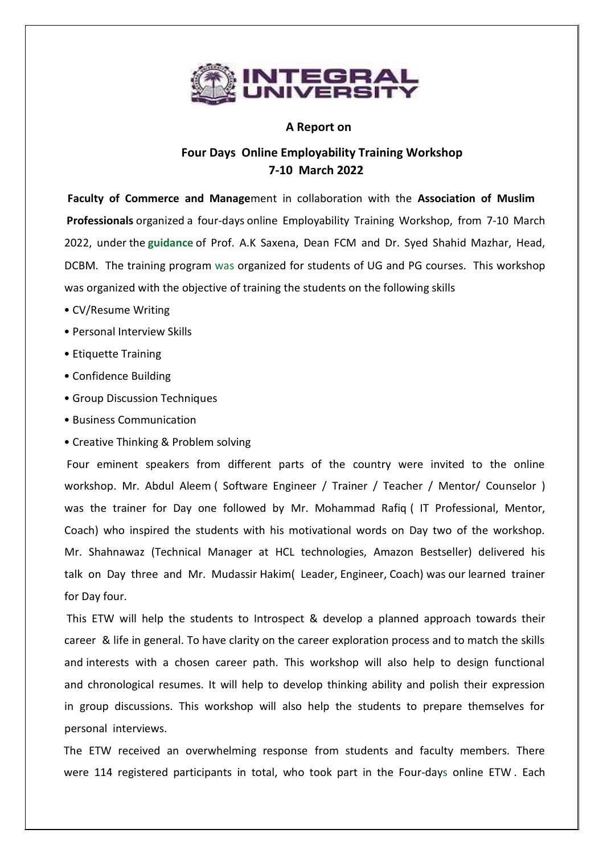

## **A Report on**

## **Four Days Online Employability Training Workshop 7-10 March 2022**

**Faculty of Commerce and Manage**ment in collaboration with the **Association of Muslim Professionals** organized a four-days online Employability Training Workshop, from 7-10 March 2022, under the **guidance** of Prof. A.K Saxena, Dean FCM and Dr. Syed Shahid Mazhar, Head, DCBM. The training program was organized for students of UG and PG courses. This workshop was organized with the objective of training the students on the following skills

- CV/Resume Writing
- Personal Interview Skills
- Etiquette Training
- Confidence Building
- Group Discussion Techniques
- Business Communication
- Creative Thinking & Problem solving

Four eminent speakers from different parts of the country were invited to the online workshop. Mr. Abdul Aleem ( Software Engineer / Trainer / Teacher / Mentor/ Counselor ) was the trainer for Day one followed by Mr. Mohammad Rafiq ( IT Professional, Mentor, Coach) who inspired the students with his motivational words on Day two of the workshop. Mr. Shahnawaz (Technical Manager at HCL technologies, Amazon Bestseller) delivered his talk on Day three and Mr. Mudassir Hakim( Leader, Engineer, Coach) was our learned trainer for Day four.

This ETW will help the students to Introspect & develop a planned approach towards their career & life in general. To have clarity on the career exploration process and to match the skills and interests with a chosen career path. This workshop will also help to design functional and chronological resumes. It will help to develop thinking ability and polish their expression in group discussions. This workshop will also help the students to prepare themselves for personal interviews.

The ETW received an overwhelming response from students and faculty members. There were 114 registered participants in total, who took part in the Four-days online ETW . Each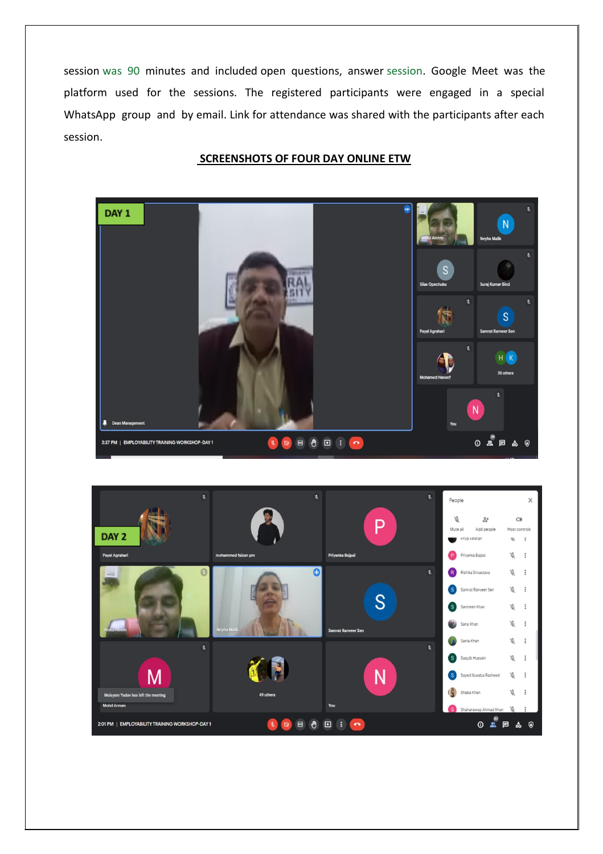session was 90 minutes and included open questions, answer session. Google Meet was the platform used for the sessions. The registered participants were engaged in a special WhatsApp group and by email. Link for attendance was shared with the participants after each session.

## **SCREENSHOTS OF FOUR DAY ONLINE ETW**